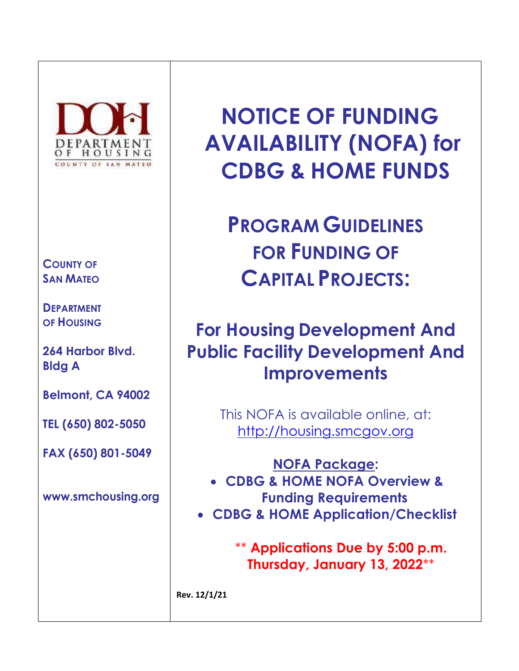

# **COUNTY OF SAN MATEO**

**DEPARTMENT OF HOUSING**

**264 Harbor Blvd. Bldg A**

**Belmont, CA 94002**

**TEL (650) 802-5050**

**FAX (650) 801-5049**

**[www.smchousing.org](http://www.smchousing.org/)**

**NOTICE OF FUNDING AVAILABILITY (NOFA) for CDBG & HOME FUNDS**

**PROGRAM GUIDELINES FOR FUNDING OF CAPITAL PROJECTS:**

# **For Housing Development And Public Facility Development And Improvements**

This NOFA is available online, at: [http://housing.smcgov.org](http://housing.smcgov.org/)

**NOFA Package:** 

- **CDBG & HOME NOFA Overview & Funding Requirements**
- **CDBG & HOME Application/Checklist**

\*\* **Applications Due by 5:00 p.m. Thursday, January 13, 2022**\*\*

**Rev. 12/1/21**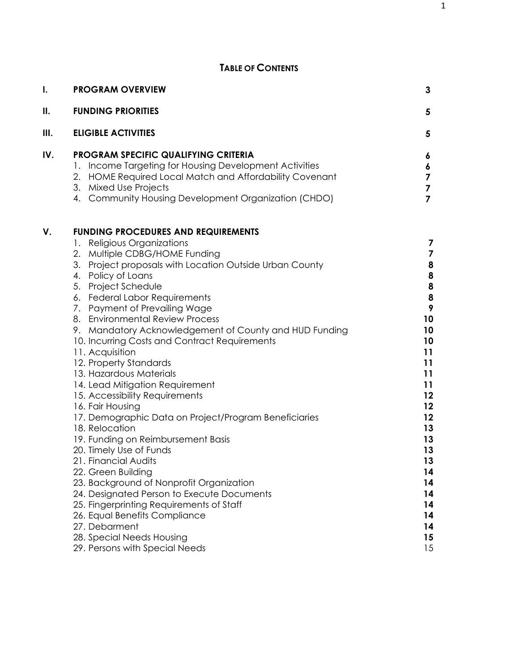# **TABLE OF CONTENTS**

| I.  | <b>PROGRAM OVERVIEW</b>                                                                                                                                                                                                                                                                                                                                                                                                                                                                                                                                                                                                                                                                                                                                                                                                                                                                                                                                                                                                                             | 3                                                                                                                                                                                         |
|-----|-----------------------------------------------------------------------------------------------------------------------------------------------------------------------------------------------------------------------------------------------------------------------------------------------------------------------------------------------------------------------------------------------------------------------------------------------------------------------------------------------------------------------------------------------------------------------------------------------------------------------------------------------------------------------------------------------------------------------------------------------------------------------------------------------------------------------------------------------------------------------------------------------------------------------------------------------------------------------------------------------------------------------------------------------------|-------------------------------------------------------------------------------------------------------------------------------------------------------------------------------------------|
| П.  | <b>FUNDING PRIORITIES</b>                                                                                                                                                                                                                                                                                                                                                                                                                                                                                                                                                                                                                                                                                                                                                                                                                                                                                                                                                                                                                           | 5                                                                                                                                                                                         |
| Ш.  | <b>ELIGIBLE ACTIVITIES</b>                                                                                                                                                                                                                                                                                                                                                                                                                                                                                                                                                                                                                                                                                                                                                                                                                                                                                                                                                                                                                          | 5                                                                                                                                                                                         |
| IV. | PROGRAM SPECIFIC QUALIFYING CRITERIA<br>1. Income Targeting for Housing Development Activities<br>2. HOME Required Local Match and Affordability Covenant<br>3. Mixed Use Projects<br>4. Community Housing Development Organization (CHDO)                                                                                                                                                                                                                                                                                                                                                                                                                                                                                                                                                                                                                                                                                                                                                                                                          | 6<br>6<br>7<br>$\overline{\mathbf{z}}$<br>$\overline{7}$                                                                                                                                  |
| V.  | <b>FUNDING PROCEDURES AND REQUIREMENTS</b><br>1. Religious Organizations<br>2. Multiple CDBG/HOME Funding<br>3. Project proposals with Location Outside Urban County<br>4. Policy of Loans<br>5. Project Schedule<br>6. Federal Labor Requirements<br>7. Payment of Prevailing Wage<br>8. Environmental Review Process<br>9. Mandatory Acknowledgement of County and HUD Funding<br>10. Incurring Costs and Contract Requirements<br>11. Acquisition<br>12. Property Standards<br>13. Hazardous Materials<br>14. Lead Mitigation Requirement<br>15. Accessibility Requirements<br>16. Fair Housing<br>17. Demographic Data on Project/Program Beneficiaries<br>18. Relocation<br>19. Funding on Reimbursement Basis<br>20. Timely Use of Funds<br>21. Financial Audits<br>22. Green Building<br>23. Background of Nonprofit Organization<br>24. Designated Person to Execute Documents<br>25. Fingerprinting Requirements of Staff<br>26. Equal Benefits Compliance<br>27. Debarment<br>28. Special Needs Housing<br>29. Persons with Special Needs | 7<br>$\overline{\mathbf{z}}$<br>8<br>8<br>8<br>8<br>9<br>10<br>10<br>10<br>11<br>11<br>11<br>11<br>12<br>12<br>12<br>13<br>13<br>13<br>13<br>14<br>14<br>14<br>14<br>14<br>14<br>15<br>15 |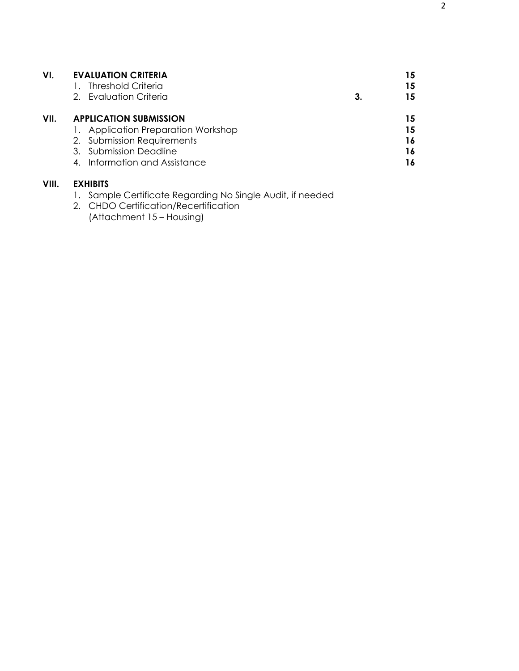| VI.   | <b>EVALUATION CRITERIA</b>          |    | 15 |
|-------|-------------------------------------|----|----|
|       | <b>Threshold Criteria</b>           |    | 15 |
|       | 2. Evaluation Criteria              | 3. | 15 |
| VII.  | <b>APPLICATION SUBMISSION</b>       |    | 15 |
|       | 1. Application Preparation Workshop |    | 15 |
|       | 2. Submission Requirements          |    | 16 |
|       | 3. Submission Deadline              |    | 16 |
|       | 4. Information and Assistance       |    | 16 |
| VIII. | <b>EXHIBITS</b>                     |    |    |

- 1. Sample Certificate Regarding No Single Audit, if needed
- 2. CHDO Certification/Recertification (Attachment 15 – Housing)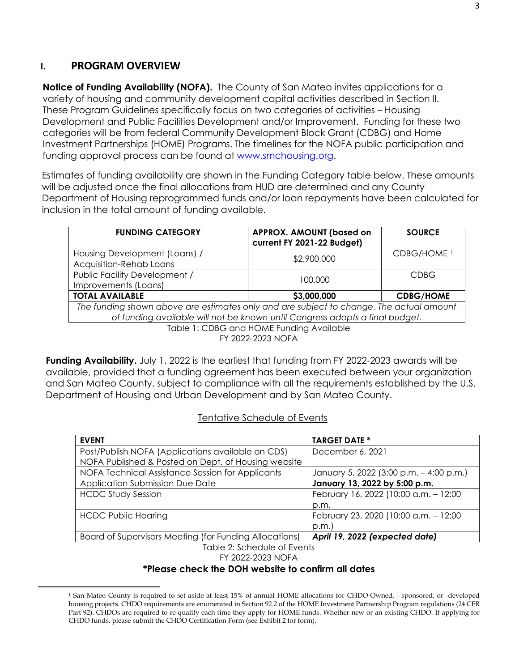## **I. PROGRAM OVERVIEW**

**Notice of Funding Availability (NOFA).** The County of San Mateo invites applications for a variety of housing and community development capital activities described in Section II. These Program Guidelines specifically focus on two categories of activities – Housing Development and Public Facilities Development and/or Improvement. Funding for these two categories will be from federal Community Development Block Grant (CDBG) and Home Investment Partnerships (HOME) Programs. The timelines for the NOFA public participation and funding approval process can be found at [www.smchousing.org.](http://www.smchousing.org/)

Estimates of funding availability are shown in the Funding Category table below. These amounts will be adjusted once the final allocations from HUD are determined and any County Department of Housing reprogrammed funds and/or loan repayments have been calculated for inclusion in the total amount of funding available.

| <b>FUNDING CATEGORY</b>                                                                                                                                                 | <b>APPROX. AMOUNT (based on</b><br>current FY 2021-22 Budget) | <b>SOURCE</b>          |  |
|-------------------------------------------------------------------------------------------------------------------------------------------------------------------------|---------------------------------------------------------------|------------------------|--|
| Housing Development (Loans) /<br>Acquisition-Rehab Loans                                                                                                                | \$2,900,000                                                   | CDBG/HOME <sup>1</sup> |  |
| Public Facility Development /<br>Improvements (Loans)                                                                                                                   | 100,000                                                       | <b>CDBG</b>            |  |
| <b>TOTAL AVAILABLE</b><br>\$3,000,000<br><b>CDBG/HOME</b>                                                                                                               |                                                               |                        |  |
| The funding shown above are estimates only and are subject to change. The actual amount<br>of funding available will not be known until Congress adopts a final budget. |                                                               |                        |  |
| Table 1: CDBG and HOME Funding Available                                                                                                                                |                                                               |                        |  |

FY 2022-2023 NOFA

**Funding Availability.** July 1, 2022 is the earliest that funding from FY 2022-2023 awards will be available, provided that a funding agreement has been executed between your organization and San Mateo County, subject to compliance with all the requirements established by the U.S. Department of Housing and Urban Development and by San Mateo County.

#### Tentative Schedule of Events

| December 6, 2021                        |  |  |
|-----------------------------------------|--|--|
|                                         |  |  |
|                                         |  |  |
| January 5, 2022 (3:00 p.m. - 4:00 p.m.) |  |  |
| January 13, 2022 by 5:00 p.m.           |  |  |
| February 16, 2022 (10:00 a.m. - 12:00   |  |  |
| p.m.                                    |  |  |
| February 23, 2020 (10:00 a.m. - 12:00   |  |  |
| p.m.                                    |  |  |
| April 19, 2022 (expected date)          |  |  |
| Table 2: Schedule of Events             |  |  |
|                                         |  |  |

FY 2022-2023 NOFA

#### **\*Please check the DOH website to confirm all dates**

<span id="page-3-0"></span><sup>1</sup> San Mateo County is required to set aside at least 15% of annual HOME allocations for CHDO-Owned, - sponsored, or -developed housing projects. CHDO requirements are enumerated in Section 92.2 of the HOME Investment Partnership Program regulations (24 CFR Part 92). CHDOs are required to re-qualify each time they apply for HOME funds. Whether new or an existing CHDO. If applying for CHDO funds, please submit the CHDO Certification Form (see Exhibit 2 for form).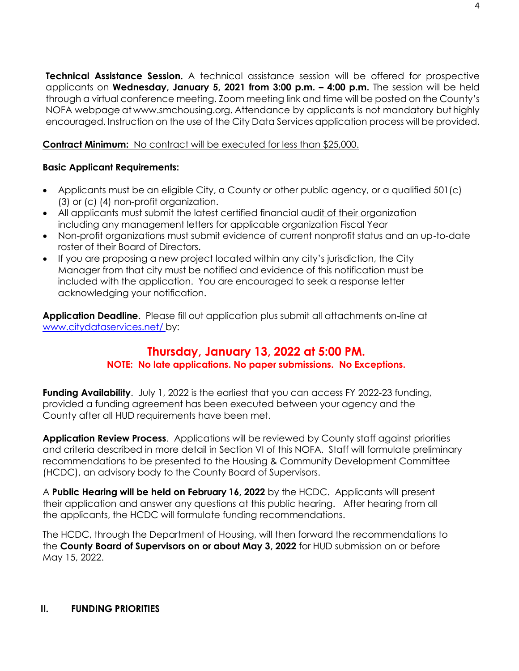**Technical Assistance Session.** A technical assistance session will be offered for prospective applicants on **Wednesday, January 5, 2021 from 3:00 p.m. – 4:00 p.m.** The session will be held through a virtual conference meeting. Zoom meeting link and time will be posted on the County's NOFA webpage at www.smchousing.org. Attendance by applicants is not mandatory but highly encouraged. Instruction on the use of the City Data Services application process will be provided.

**Contract Minimum:** No contract will be executed for less than \$25,000.

## **Basic Applicant Requirements:**

- Applicants must be an eligible City, a County or other public agency, or a qualified 501(c) (3) or (c) (4) non-profit organization.
- All applicants must submit the latest certified financial audit of their organization including any management letters for applicable organization Fiscal Year
- Non-profit organizations must submit evidence of current nonprofit status and an up-to-date roster of their Board of Directors.
- If you are proposing a new project located within any city's jurisdiction, the City Manager from that city must be notified and evidence of this notification must be included with the application. You are encouraged to seek a response letter acknowledging your notification.

**Application Deadline**. Please fill out application plus submit all attachments on-line at [www.citydataservices.net/](http://www.citydataservices.net/) by:

## **Thursday, January 13, 2022 at 5:00 PM. NOTE: No late applications. No paper submissions. No Exceptions.**

**Funding Availability**. July 1, 2022 is the earliest that you can access FY 2022-23 funding, provided a funding agreement has been executed between your agency and the County after all HUD requirements have been met.

**Application Review Process**. Applications will be reviewed by County staff against priorities and criteria described in more detail in Section VI of this NOFA. Staff will formulate preliminary recommendations to be presented to the Housing & Community Development Committee (HCDC), an advisory body to the County Board of Supervisors.

A **Public Hearing will be held on February 16, 2022** by the HCDC. Applicants will present their application and answer any questions at this public hearing. After hearing from all the applicants, the HCDC will formulate funding recommendations.

The HCDC, through the Department of Housing, will then forward the recommendations to the **County Board of Supervisors on or about May 3, 2022** for HUD submission on or before May 15, 2022.

#### **II. FUNDING PRIORITIES**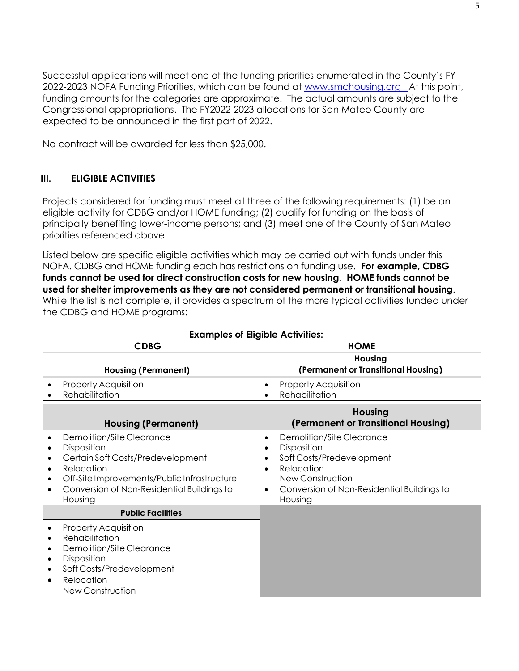Successful applications will meet one of the funding priorities enumerated in the County's FY 2022-2023 NOFA Funding Priorities, which can be found at [www.smchousing.org A](http://www.smchousing.org/)t this point, funding amounts for the categories are approximate. The actual amounts are subject to the Congressional appropriations. The FY2022-2023 allocations for San Mateo County are expected to be announced in the first part of 2022.

No contract will be awarded for less than \$25,000.

## **III. ELIGIBLE ACTIVITIES**

Projects considered for funding must meet all three of the following requirements: (1) be an eligible activity for CDBG and/or HOME funding; (2) qualify for funding on the basis of principally benefiting lower-income persons; and (3) meet one of the County of San Mateo priorities referenced above.

Listed below are specific eligible activities which may be carried out with funds under this NOFA. CDBG and HOME funding each has restrictions on funding use. **For example, CDBG funds cannot be used for direct construction costs for new housing. HOME funds cannot be used for shelter improvements as they are not considered permanent or transitional housing**. While the list is not complete, it provides a spectrum of the more typical activities funded under the CDBG and HOME programs:

| <b>CDBG</b>                                                                                                                                                                                                                                                                       | <b>HOME</b>                                                                                                                                                                                                       |
|-----------------------------------------------------------------------------------------------------------------------------------------------------------------------------------------------------------------------------------------------------------------------------------|-------------------------------------------------------------------------------------------------------------------------------------------------------------------------------------------------------------------|
| <b>Housing (Permanent)</b>                                                                                                                                                                                                                                                        | Housing<br>(Permanent or Transitional Housing)                                                                                                                                                                    |
| <b>Property Acquisition</b><br>$\bullet$<br>Rehabilitation                                                                                                                                                                                                                        | <b>Property Acquisition</b><br>٠<br>Rehabilitation<br>$\bullet$                                                                                                                                                   |
| <b>Housing (Permanent)</b>                                                                                                                                                                                                                                                        | <b>Housing</b><br>(Permanent or Transitional Housing)                                                                                                                                                             |
| Demolition/Site Clearance<br>$\bullet$<br>Disposition<br>$\bullet$<br>Certain Soft Costs/Predevelopment<br>$\bullet$<br>Relocation<br>$\bullet$<br>Off-Site Improvements/Public Infrastructure<br>$\bullet$<br>Conversion of Non-Residential Buildings to<br>$\bullet$<br>Housing | Demolition/Site Clearance<br>٠<br>Disposition<br>$\bullet$<br>Soft Costs/Predevelopment<br>$\bullet$<br>Relocation<br>$\bullet$<br>New Construction<br>Conversion of Non-Residential Buildings to<br>٠<br>Housing |
| <b>Public Facilities</b>                                                                                                                                                                                                                                                          |                                                                                                                                                                                                                   |
| <b>Property Acquisition</b><br>$\bullet$<br>Rehabilitation<br>$\bullet$<br>Demolition/Site Clearance<br>$\bullet$<br>Disposition<br>$\bullet$<br>Soft Costs/Predevelopment<br>$\bullet$<br>Relocation<br>$\bullet$<br>New Construction                                            |                                                                                                                                                                                                                   |

## **Examples of Eligible Activities:**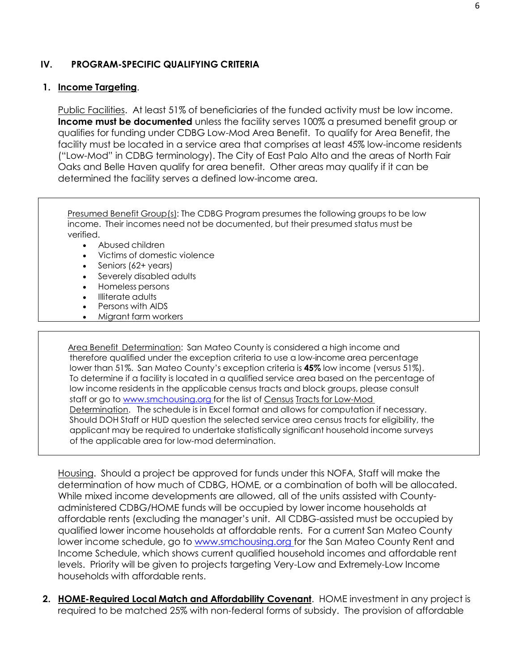#### **IV. PROGRAM-SPECIFIC QUALIFYING CRITERIA**

#### **1. Income Targeting**.

Public Facilities. At least 51% of beneficiaries of the funded activity must be low income. **Income must be documented** unless the facility serves 100% a presumed benefit group or qualifies for funding under CDBG Low-Mod Area Benefit. To qualify for Area Benefit, the facility must be located in a service area that comprises at least 45% low-income residents ("Low-Mod" in CDBG terminology). The City of East Palo Alto and the areas of North Fair Oaks and Belle Haven qualify for area benefit. Other areas may qualify if it can be determined the facility serves a defined low-income area.

Presumed Benefit Group(s): The CDBG Program presumes the following groups to be low income. Their incomes need not be documented, but their presumed status must be verified.

- Abused children
- Victims of domestic violence
- Seniors (62+ years)
- Severely disabled adults
- Homeless persons
- Illiterate adults
- Persons with AIDS
- Migrant farm workers

Area Benefit Determination: San Mateo County is considered a high income and therefore qualified under the exception criteria to use a low-income area percentage lower than 51%. San Mateo County's exception criteria is **45%** low income (versus 51%). To determine if a facility is located in a qualified service area based on the percentage of low income residents in the applicable census tracts and block groups, please consult staff or go to [www.smchousing.org](http://www.smchousing.org/) for the list of Census Tracts for Low-Mod Determination. The schedule is in Excel format and allows for computation if necessary. Should DOH Staff or HUD question the selected service area census tracts for eligibility, the applicant may be required to undertake statistically significant household income surveys of the applicable area for low-mod determination.

Housing. Should a project be approved for funds under this NOFA, Staff will make the determination of how much of CDBG, HOME, or a combination of both will be allocated. While mixed income developments are allowed, all of the units assisted with Countyadministered CDBG/HOME funds will be occupied by lower income households at affordable rents (excluding the manager's unit. All CDBG-assisted must be occupied by qualified lower income households at affordable rents. For a current San Mateo County lower income schedule, go to [www.smchousing.org](http://www.smchousing.org/) for the San Mateo County Rent and Income Schedule, which shows current qualified household incomes and affordable rent levels. Priority will be given to projects targeting Very-Low and Extremely-Low Income households with affordable rents.

**2. HOME-Required Local Match and Affordability Covenant**. HOME investment in any project is required to be matched 25% with non-federal forms of subsidy. The provision of affordable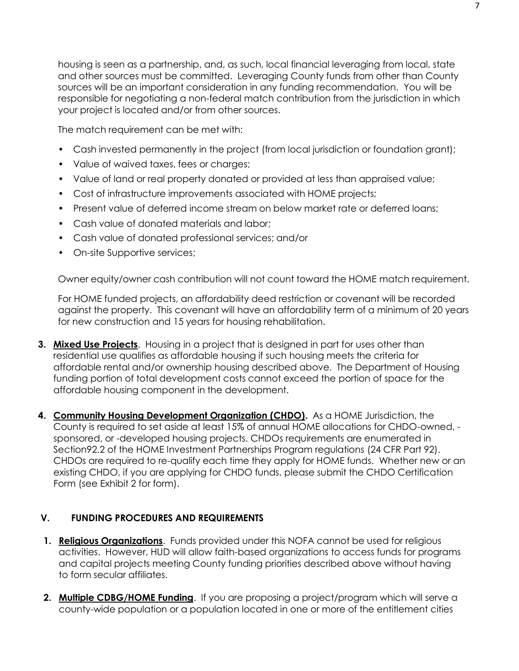housing is seen as a partnership, and, as such, local financial leveraging from local, state and other sources must be committed. Leveraging County funds from other than County sources will be an important consideration in any funding recommendation. You will be responsible for negotiating a non-federal match contribution from the jurisdiction in which your project is located and/or from other sources.

The match requirement can be met with:

- Cash invested permanently in the project (from local jurisdiction or foundation grant);
- Value of waived taxes, fees or charges;
- Value of land or real property donated or provided at less than appraised value;
- Cost of infrastructure improvements associated with HOME projects;
- Present value of deferred income stream on below market rate or deferred loans;
- Cash value of donated materials and labor;
- Cash value of donated professional services; and/or
- On-site Supportive services;

Owner equity/owner cash contribution will not count toward the HOME match requirement.

For HOME funded projects, an affordability deed restriction or covenant will be recorded against the property. This covenant will have an affordability term of a minimum of 20 years for new construction and 15 years for housing rehabilitation.

- **3. Mixed Use Projects**. Housing in a project that is designed in part for uses other than residential use qualifies as affordable housing if such housing meets the criteria for affordable rental and/or ownership housing described above. The Department of Housing funding portion of total development costs cannot exceed the portion of space for the affordable housing component in the development.
- **4. Community Housing Development Organization (CHDO).** As a HOME Jurisdiction, the County is required to set aside at least 15% of annual HOME allocations for CHDO-owned, sponsored, or -developed housing projects. CHDOs requirements are enumerated in Section92.2 of the HOME Investment Partnerships Program regulations (24 CFR Part 92). CHDOs are required to re-qualify each time they apply for HOME funds. Whether new or an existing CHDO, if you are applying for CHDO funds, please submit the CHDO Certification Form (see Exhibit 2 for form).

#### **V. FUNDING PROCEDURES AND REQUIREMENTS**

- **1. Religious Organizations**. Funds provided under this NOFA cannot be used for religious activities. However, HUD will allow faith-based organizations to access funds for programs and capital projects meeting County funding priorities described above without having to form secular affiliates.
- **2. Multiple CDBG/HOME Funding**. If you are proposing a project/program which will serve a county-wide population or a population located in one or more of the entitlement cities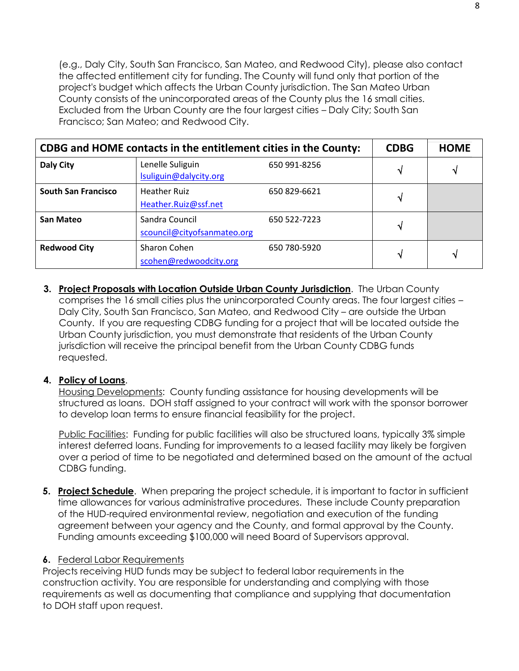(e.g., Daly City, South San Francisco, San Mateo, and Redwood City), please also contact the affected entitlement city for funding. The County will fund only that portion of the project's budget which affects the Urban County jurisdiction. The San Mateo Urban County consists of the unincorporated areas of the County plus the 16 small cities. Excluded from the Urban County are the four largest cities – Daly City; South San Francisco; San Mateo; and Redwood City.

| CDBG and HOME contacts in the entitlement cities in the County: |                                               |              | <b>CDBG</b> | <b>HOME</b> |
|-----------------------------------------------------------------|-----------------------------------------------|--------------|-------------|-------------|
| Daly City                                                       | Lenelle Suliguin<br>Isuliguin@dalycity.org    | 650 991-8256 | V           | N           |
| <b>South San Francisco</b>                                      | <b>Heather Ruiz</b><br>Heather.Ruiz@ssf.net   | 650 829-6621 | V           |             |
| San Mateo                                                       | Sandra Council<br>scouncil@cityofsanmateo.org | 650 522-7223 | V           |             |
| <b>Redwood City</b>                                             | Sharon Cohen<br>scohen@redwoodcity.org        | 650 780-5920 | ٦J          | N           |

**3. Project Proposals with Location Outside Urban County Jurisdiction**. The Urban County comprises the 16 small cities plus the unincorporated County areas. The four largest cities – Daly City, South San Francisco, San Mateo, and Redwood City – are outside the Urban County. If you are requesting CDBG funding for a project that will be located outside the Urban County jurisdiction, you must demonstrate that residents of the Urban County jurisdiction will receive the principal benefit from the Urban County CDBG funds requested.

#### **4. Policy of Loans**.

Housing Developments: County funding assistance for housing developments will be structured as loans. DOH staff assigned to your contract will work with the sponsor borrower to develop loan terms to ensure financial feasibility for the project.

Public Facilities: Funding for public facilities will also be structured loans, typically 3% simple interest deferred loans. Funding for improvements to a leased facility may likely be forgiven over a period of time to be negotiated and determined based on the amount of the actual CDBG funding.

**5. Project Schedule**. When preparing the project schedule, it is important to factor in sufficient time allowances for various administrative procedures. These include County preparation of the HUD-required environmental review, negotiation and execution of the funding agreement between your agency and the County, and formal approval by the County. Funding amounts exceeding \$100,000 will need Board of Supervisors approval.

#### **6.** Federal Labor Requirements

Projects receiving HUD funds may be subject to federal labor requirements in the construction activity. You are responsible for understanding and complying with those requirements as well as documenting that compliance and supplying that documentation to DOH staff upon request.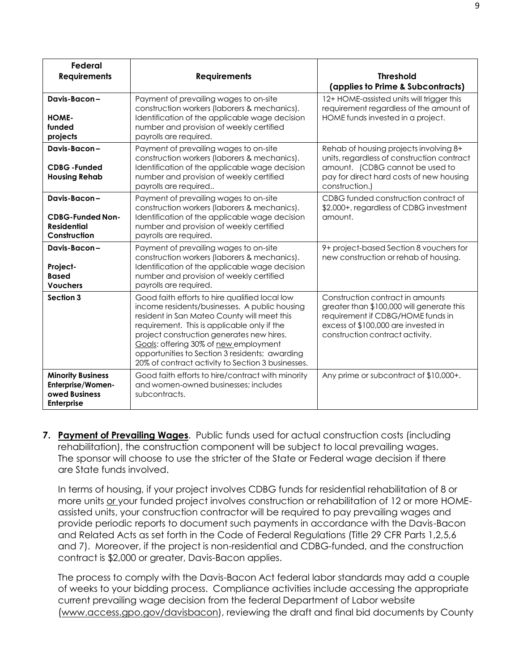| <b>Federal</b><br><b>Requirements</b>                                                      | <b>Requirements</b>                                                                                                                                                                                                                                                                                                                                                                        | <b>Threshold</b><br>(applies to Prime & Subcontracts)                                                                                                                                        |
|--------------------------------------------------------------------------------------------|--------------------------------------------------------------------------------------------------------------------------------------------------------------------------------------------------------------------------------------------------------------------------------------------------------------------------------------------------------------------------------------------|----------------------------------------------------------------------------------------------------------------------------------------------------------------------------------------------|
| Davis-Bacon-<br>HOME-<br>funded<br>projects                                                | Payment of prevailing wages to on-site<br>construction workers (laborers & mechanics).<br>Identification of the applicable wage decision<br>number and provision of weekly certified<br>payrolls are required.                                                                                                                                                                             | 12+ HOME-assisted units will trigger this<br>requirement regardless of the amount of<br>HOME funds invested in a project.                                                                    |
| Davis-Bacon-<br><b>CDBG-Funded</b><br><b>Housing Rehab</b>                                 | Payment of prevailing wages to on-site<br>construction workers (laborers & mechanics).<br>Identification of the applicable wage decision<br>number and provision of weekly certified<br>payrolls are required                                                                                                                                                                              | Rehab of housing projects involving 8+<br>units, regardless of construction contract<br>amount. (CDBG cannot be used to<br>pay for direct hard costs of new housing<br>construction.)        |
| Davis-Bacon-<br><b>CDBG-Funded Non-</b><br><b>Residential</b><br>Construction              | Payment of prevailing wages to on-site<br>construction workers (laborers & mechanics).<br>Identification of the applicable wage decision<br>number and provision of weekly certified<br>payrolls are required.                                                                                                                                                                             | CDBG funded construction contract of<br>\$2,000+, regardless of CDBG investment<br>amount.                                                                                                   |
| Davis-Bacon-<br>Project-<br><b>Based</b><br><b>Vouchers</b>                                | Payment of prevailing wages to on-site<br>construction workers (laborers & mechanics).<br>Identification of the applicable wage decision<br>number and provision of weekly certified<br>payrolls are required.                                                                                                                                                                             | 9+ project-based Section 8 vouchers for<br>new construction or rehab of housing.                                                                                                             |
| Section 3                                                                                  | Good faith efforts to hire qualified local low<br>income residents/businesses. A public housing<br>resident in San Mateo County will meet this<br>requirement. This is applicable only if the<br>project construction generates new hires.<br>Goals: offering 30% of new employment<br>opportunities to Section 3 residents; awarding<br>20% of contract activity to Section 3 businesses. | Construction contract in amounts<br>greater than \$100,000 will generate this<br>requirement if CDBG/HOME funds in<br>excess of \$100,000 are invested in<br>construction contract activity. |
| <b>Minority Business</b><br><b>Enterprise/Women-</b><br>owed Business<br><b>Enterprise</b> | Good faith efforts to hire/contract with minority<br>and women-owned businesses; includes<br>subcontracts.                                                                                                                                                                                                                                                                                 | Any prime or subcontract of \$10,000+.                                                                                                                                                       |

**7. Payment of Prevailing Wages**. Public funds used for actual construction costs (including rehabilitation), the construction component will be subject to local prevailing wages. The sponsor will choose to use the stricter of the State or Federal wage decision if there are State funds involved.

In terms of housing, if your project involves CDBG funds for residential rehabilitation of 8 or more units or your funded project involves construction or rehabilitation of 12 or more HOMEassisted units, your construction contractor will be required to pay prevailing wages and provide periodic reports to document such payments in accordance with the Davis-Bacon and Related Acts as set forth in the Code of Federal Regulations (Title 29 CFR Parts 1,2,5,6 and 7). Moreover, if the project is non-residential and CDBG-funded, and the construction contract is \$2,000 or greater, Davis-Bacon applies.

The process to comply with the Davis-Bacon Act federal labor standards may add a couple of weeks to your bidding process. Compliance activities include accessing the appropriate current prevailing wage decision from the federal Department of Labor website [\(www.access.gpo.gov/davisbacon\),](http://www.access.gpo.gov/davisbacon)) reviewing the draft and final bid documents by County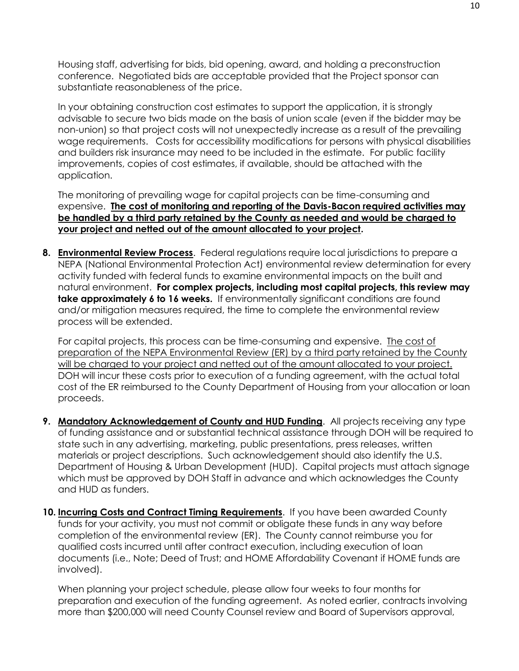Housing staff, advertising for bids, bid opening, award, and holding a preconstruction conference. Negotiated bids are acceptable provided that the Project sponsor can substantiate reasonableness of the price.

In your obtaining construction cost estimates to support the application, it is strongly advisable to secure two bids made on the basis of union scale (even if the bidder may be non-union) so that project costs will not unexpectedly increase as a result of the prevailing wage requirements. Costs for accessibility modifications for persons with physical disabilities and builders risk insurance may need to be included in the estimate. For public facility improvements, copies of cost estimates, if available, should be attached with the application.

The monitoring of prevailing wage for capital projects can be time-consuming and expensive. **The cost of monitoring and reporting of the Davis-Bacon required activities may be handled by a third party retained by the County as needed and would be charged to your project and netted out of the amount allocated to your project.**

**8. Environmental Review Process**. Federal regulations require local jurisdictions to prepare a NEPA (National Environmental Protection Act) environmental review determination for every activity funded with federal funds to examine environmental impacts on the built and natural environment. **For complex projects, including most capital projects, this review may take approximately 6 to 16 weeks.** If environmentally significant conditions are found and/or mitigation measures required, the time to complete the environmental review process will be extended.

For capital projects, this process can be time-consuming and expensive. The cost of preparation of the NEPA Environmental Review (ER) by a third party retained by the County will be charged to your project and netted out of the amount allocated to your project. DOH will incur these costs prior to execution of a funding agreement, with the actual total cost of the ER reimbursed to the County Department of Housing from your allocation or loan proceeds.

- **9. Mandatory Acknowledgement of County and HUD Funding**. All projects receiving any type of funding assistance and or substantial technical assistance through DOH will be required to state such in any advertising, marketing, public presentations, press releases, written materials or project descriptions. Such acknowledgement should also identify the U.S. Department of Housing & Urban Development (HUD). Capital projects must attach signage which must be approved by DOH Staff in advance and which acknowledges the County and HUD as funders.
- **10. Incurring Costs and Contract Timing Requirements**. If you have been awarded County funds for your activity, you must not commit or obligate these funds in any way before completion of the environmental review (ER). The County cannot reimburse you for qualified costs incurred until after contract execution, including execution of loan documents (i.e., Note; Deed of Trust; and HOME Affordability Covenant if HOME funds are involved).

When planning your project schedule, please allow four weeks to four months for preparation and execution of the funding agreement. As noted earlier, contracts involving more than \$200,000 will need County Counsel review and Board of Supervisors approval,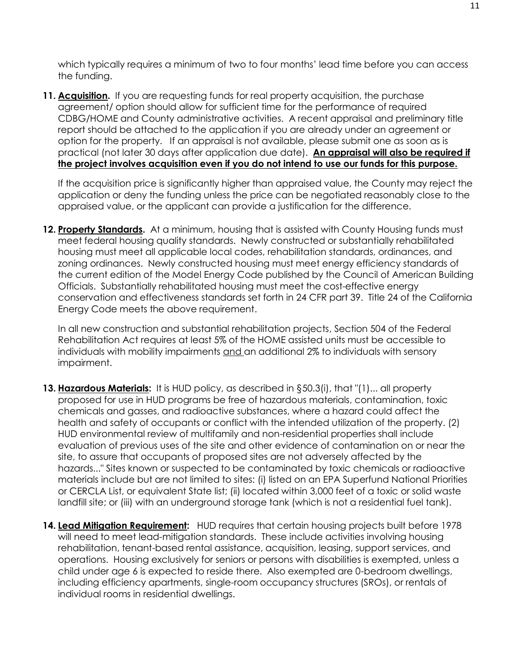which typically requires a minimum of two to four months' lead time before you can access the funding.

**11. Acquisition.** If you are requesting funds for real property acquisition, the purchase agreement/ option should allow for sufficient time for the performance of required CDBG/HOME and County administrative activities. A recent appraisal and preliminary title report should be attached to the application if you are already under an agreement or option for the property. If an appraisal is not available, please submit one as soon as is practical (not later 30 days after application due date). **An appraisal will also be required if the project involves acquisition even if you do not intend to use our funds for this purpose.**

If the acquisition price is significantly higher than appraised value, the County may reject the application or deny the funding unless the price can be negotiated reasonably close to the appraised value, or the applicant can provide a justification for the difference.

**12. Property Standards.** At a minimum, housing that is assisted with County Housing funds must meet federal housing quality standards. Newly constructed or substantially rehabilitated housing must meet all applicable local codes, rehabilitation standards, ordinances, and zoning ordinances. Newly constructed housing must meet energy efficiency standards of the current edition of the Model Energy Code published by the Council of American Building Officials. Substantially rehabilitated housing must meet the cost-effective energy conservation and effectiveness standards set forth in 24 CFR part 39. Title 24 of the California Energy Code meets the above requirement.

In all new construction and substantial rehabilitation projects, Section 504 of the Federal Rehabilitation Act requires at least 5% of the HOME assisted units must be accessible to individuals with mobility impairments and an additional 2% to individuals with sensory impairment.

- **13. Hazardous Materials:** It is HUD policy, as described in §50.3(i), that "(1)... all property proposed for use in HUD programs be free of hazardous materials, contamination, toxic chemicals and gasses, and radioactive substances, where a hazard could affect the health and safety of occupants or conflict with the intended utilization of the property. (2) HUD environmental review of multifamily and non-residential properties shall include evaluation of previous uses of the site and other evidence of contamination on or near the site, to assure that occupants of proposed sites are not adversely affected by the hazards..." Sites known or suspected to be contaminated by toxic chemicals or radioactive materials include but are not limited to sites: (i) listed on an EPA Superfund National Priorities or CERCLA List, or equivalent State list; (ii) located within 3,000 feet of a toxic or solid waste landfill site; or (iii) with an underground storage tank (which is not a residential fuel tank).
- **14. Lead Mitigation Requirement:** HUD requires that certain housing projects built before 1978 will need to meet lead-mitigation standards. These include activities involving housing rehabilitation, tenant-based rental assistance, acquisition, leasing, support services, and operations. Housing exclusively for seniors or persons with disabilities is exempted, unless a child under age 6 is expected to reside there. Also exempted are 0-bedroom dwellings, including efficiency apartments, single-room occupancy structures (SROs), or rentals of individual rooms in residential dwellings.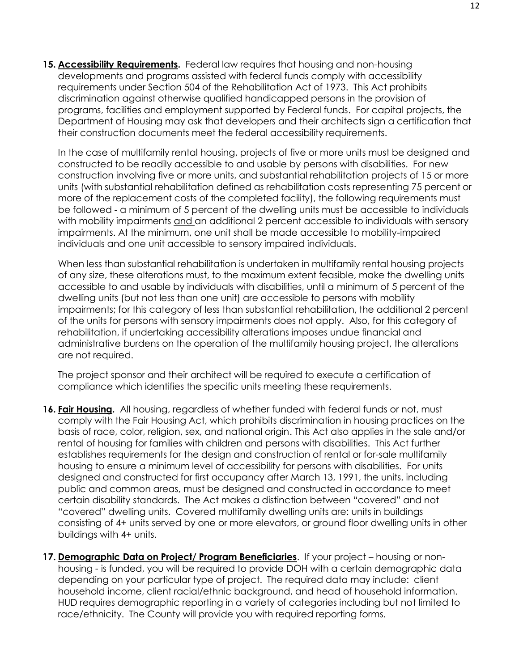**15. Accessibility Requirements.** Federal law requires that housing and non-housing developments and programs assisted with federal funds comply with accessibility requirements under Section 504 of the Rehabilitation Act of 1973. This Act prohibits discrimination against otherwise qualified handicapped persons in the provision of programs, facilities and employment supported by Federal funds. For capital projects, the Department of Housing may ask that developers and their architects sign a certification that their construction documents meet the federal accessibility requirements.

In the case of multifamily rental housing, projects of five or more units must be designed and constructed to be readily accessible to and usable by persons with disabilities. For new construction involving five or more units, and substantial rehabilitation projects of 15 or more units (with substantial rehabilitation defined as rehabilitation costs representing 75 percent or more of the replacement costs of the completed facility), the following requirements must be followed - a minimum of 5 percent of the dwelling units must be accessible to individuals with mobility impairments and an additional 2 percent accessible to individuals with sensory impairments. At the minimum, one unit shall be made accessible to mobility-impaired individuals and one unit accessible to sensory impaired individuals.

When less than substantial rehabilitation is undertaken in multifamily rental housing projects of any size, these alterations must, to the maximum extent feasible, make the dwelling units accessible to and usable by individuals with disabilities, until a minimum of 5 percent of the dwelling units (but not less than one unit) are accessible to persons with mobility impairments; for this category of less than substantial rehabilitation, the additional 2 percent of the units for persons with sensory impairments does not apply. Also, for this category of rehabilitation, if undertaking accessibility alterations imposes undue financial and administrative burdens on the operation of the multifamily housing project, the alterations are not required.

The project sponsor and their architect will be required to execute a certification of compliance which identifies the specific units meeting these requirements.

- **16. Fair Housing.** All housing, regardless of whether funded with federal funds or not, must comply with the Fair Housing Act, which prohibits discrimination in housing practices on the basis of race, color, religion, sex, and national origin. This Act also applies in the sale and/or rental of housing for families with children and persons with disabilities. This Act further establishes requirements for the design and construction of rental or for-sale multifamily housing to ensure a minimum level of accessibility for persons with disabilities. For units designed and constructed for first occupancy after March 13, 1991, the units, including public and common areas, must be designed and constructed in accordance to meet certain disability standards. The Act makes a distinction between "covered" and not "covered" dwelling units. Covered multifamily dwelling units are: units in buildings consisting of 4+ units served by one or more elevators, or ground floor dwelling units in other buildings with 4+ units.
- **17. Demographic Data on Project/ Program Beneficiaries**. If your project housing or nonhousing - is funded, you will be required to provide DOH with a certain demographic data depending on your particular type of project. The required data may include: client household income, client racial/ethnic background, and head of household information. HUD requires demographic reporting in a variety of categories including but not limited to race/ethnicity. The County will provide you with required reporting forms.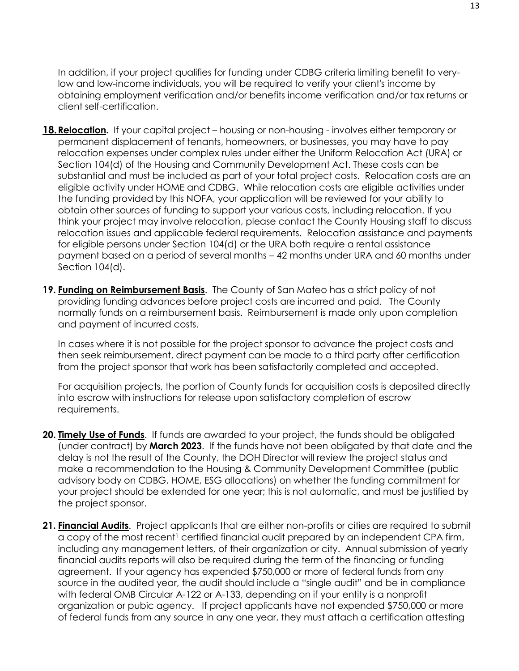In addition, if your project qualifies for funding under CDBG criteria limiting benefit to verylow and low-income individuals, you will be required to verify your client's income by obtaining employment verification and/or benefits income verification and/or tax returns or client self-certification.

- 18. Relocation. If your capital project housing or non-housing involves either temporary or permanent displacement of tenants, homeowners, or businesses, you may have to pay relocation expenses under complex rules under either the Uniform Relocation Act (URA) or Section 104(d) of the Housing and Community Development Act. These costs can be substantial and must be included as part of your total project costs. Relocation costs are an eligible activity under HOME and CDBG. While relocation costs are eligible activities under the funding provided by this NOFA, your application will be reviewed for your ability to obtain other sources of funding to support your various costs, including relocation. If you think your project may involve relocation, please contact the County Housing staff to discuss relocation issues and applicable federal requirements. Relocation assistance and payments for eligible persons under Section 104(d) or the URA both require a rental assistance payment based on a period of several months – 42 months under URA and 60 months under Section 104(d).
- **19. Funding on Reimbursement Basis**. The County of San Mateo has a strict policy of not providing funding advances before project costs are incurred and paid. The County normally funds on a reimbursement basis. Reimbursement is made only upon completion and payment of incurred costs.

In cases where it is not possible for the project sponsor to advance the project costs and then seek reimbursement, direct payment can be made to a third party after certification from the project sponsor that work has been satisfactorily completed and accepted.

For acquisition projects, the portion of County funds for acquisition costs is deposited directly into escrow with instructions for release upon satisfactory completion of escrow requirements.

- **20. Timely Use of Funds**. If funds are awarded to your project, the funds should be obligated (under contract) by **March 2023**. If the funds have not been obligated by that date and the delay is not the result of the County, the DOH Director will review the project status and make a recommendation to the Housing & Community Development Committee (public advisory body on CDBG, HOME, ESG allocations) on whether the funding commitment for your project should be extended for one year; this is not automatic, and must be justified by the project sponsor.
- **21. Financial Audits**. Project applicants that are either non-profits or cities are required to submit a copy of the most recent<sup>1</sup> certified financial audit prepared by an independent CPA firm, including any management letters, of their organization or city. Annual submission of yearly financial audits reports will also be required during the term of the financing or funding agreement. If your agency has expended \$750,000 or more of federal funds from any source in the audited year, the audit should include a "single audit" and be in compliance with federal OMB Circular A-122 or A-133, depending on if your entity is a nonprofit organization or pubic agency. If project applicants have not expended \$750,000 or more of federal funds from any source in any one year, they must attach a certification attesting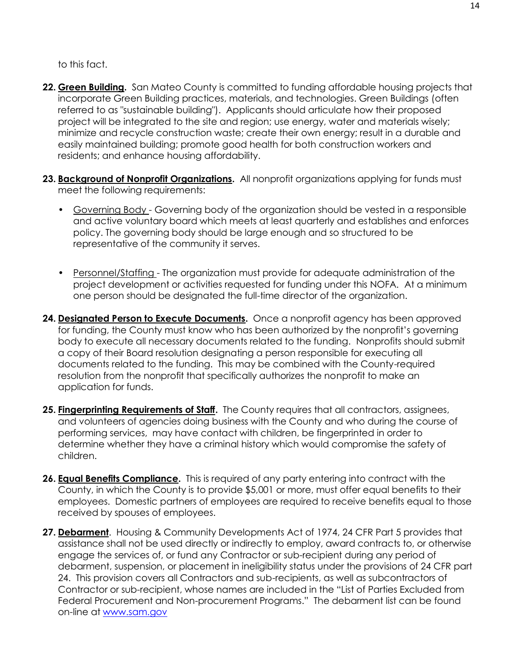to this fact.

- **22. Green Building.** San Mateo County is committed to funding affordable housing projects that incorporate Green Building practices, materials, and technologies. Green Buildings (often referred to as "sustainable building"). Applicants should articulate how their proposed project will be integrated to the site and region; use energy, water and materials wisely; minimize and recycle construction waste; create their own energy; result in a durable and easily maintained building; promote good health for both construction workers and residents; and enhance housing affordability.
- **23. Background of Nonprofit Organizations.** All nonprofit organizations applying for funds must meet the following requirements:
	- Governing Body Governing body of the organization should be vested in a responsible and active voluntary board which meets at least quarterly and establishes and enforces policy. The governing body should be large enough and so structured to be representative of the community it serves.
	- Personnel/Staffing The organization must provide for adequate administration of the project development or activities requested for funding under this NOFA. At a minimum one person should be designated the full-time director of the organization.
- **24. Designated Person to Execute Documents.** Once a nonprofit agency has been approved for funding, the County must know who has been authorized by the nonprofit's governing body to execute all necessary documents related to the funding. Nonprofits should submit a copy of their Board resolution designating a person responsible for executing all documents related to the funding. This may be combined with the County-required resolution from the nonprofit that specifically authorizes the nonprofit to make an application for funds.
- **25. Fingerprinting Requirements of Staff.** The County requires that all contractors, assignees, and volunteers of agencies doing business with the County and who during the course of performing services, may have contact with children, be fingerprinted in order to determine whether they have a criminal history which would compromise the safety of children.
- **26. Equal Benefits Compliance.** This is required of any party entering into contract with the County, in which the County is to provide \$5,001 or more, must offer equal benefits to their employees. Domestic partners of employees are required to receive benefits equal to those received by spouses of employees.
- **27. Debarment**. Housing & Community Developments Act of 1974, 24 CFR Part 5 provides that assistance shall not be used directly or indirectly to employ, award contracts to, or otherwise engage the services of, or fund any Contractor or sub-recipient during any period of debarment, suspension, or placement in ineligibility status under the provisions of 24 CFR part 24. This provision covers all Contractors and sub-recipients, as well as subcontractors of Contractor or sub-recipient, whose names are included in the "List of Parties Excluded from Federal Procurement and Non-procurement Programs." The debarment list can be found on-line at [www.sam.gov](http://www.sam.gov/)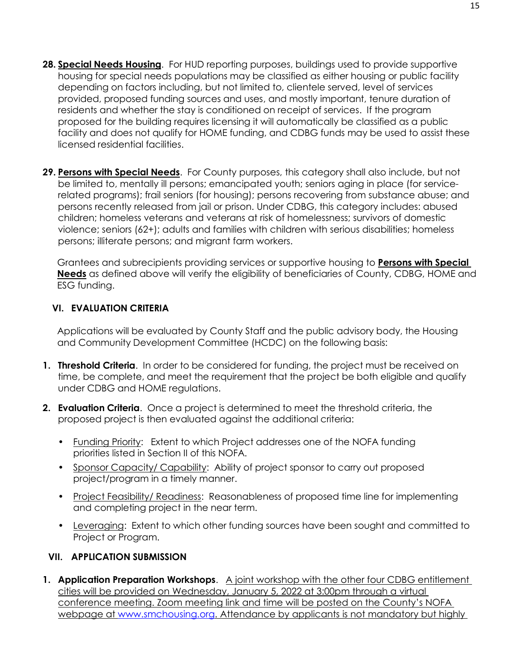- **28. Special Needs Housing**. For HUD reporting purposes, buildings used to provide supportive housing for special needs populations may be classified as either housing or public facility depending on factors including, but not limited to, clientele served, level of services provided, proposed funding sources and uses, and mostly important, tenure duration of residents and whether the stay is conditioned on receipt of services. If the program proposed for the building requires licensing it will automatically be classified as a public facility and does not qualify for HOME funding, and CDBG funds may be used to assist these licensed residential facilities.
- **29. Persons with Special Needs**. For County purposes, this category shall also include, but not be limited to, mentally ill persons; emancipated youth; seniors aging in place (for servicerelated programs); frail seniors (for housing); persons recovering from substance abuse; and persons recently released from jail or prison. Under CDBG, this category includes: abused children; homeless veterans and veterans at risk of homelessness; survivors of domestic violence; seniors (62+); adults and families with children with serious disabilities; homeless persons; illiterate persons; and migrant farm workers.

Grantees and subrecipients providing services or supportive housing to **Persons with Special Needs** as defined above will verify the eligibility of beneficiaries of County, CDBG, HOME and ESG funding.

#### **VI. EVALUATION CRITERIA**

Applications will be evaluated by County Staff and the public advisory body, the Housing and Community Development Committee (HCDC) on the following basis:

- **1. Threshold Criteria**. In order to be considered for funding, the project must be received on time, be complete, and meet the requirement that the project be both eligible and qualify under CDBG and HOME regulations.
- **2. Evaluation Criteria**. Once a project is determined to meet the threshold criteria, the proposed project is then evaluated against the additional criteria:
	- Funding Priority: Extent to which Project addresses one of the NOFA funding priorities listed in Section II of this NOFA.
	- Sponsor Capacity/ Capability: Ability of project sponsor to carry out proposed project/program in a timely manner.
	- Project Feasibility/ Readiness: Reasonableness of proposed time line for implementing and completing project in the near term.
	- Leveraging: Extent to which other funding sources have been sought and committed to Project or Program.

#### **VII. APPLICATION SUBMISSION**

**1. Application Preparation Workshops**. A joint workshop with the other four CDBG entitlement cities will be provided on Wednesday, January 5, 2022 at 3:00pm through a virtual conference meeting. Zoom meeting link and time will be posted on the County's NOFA webpage at [www.smchousing.org.](http://www.smchousing.org/) Attendance by applicants is not mandatory but highly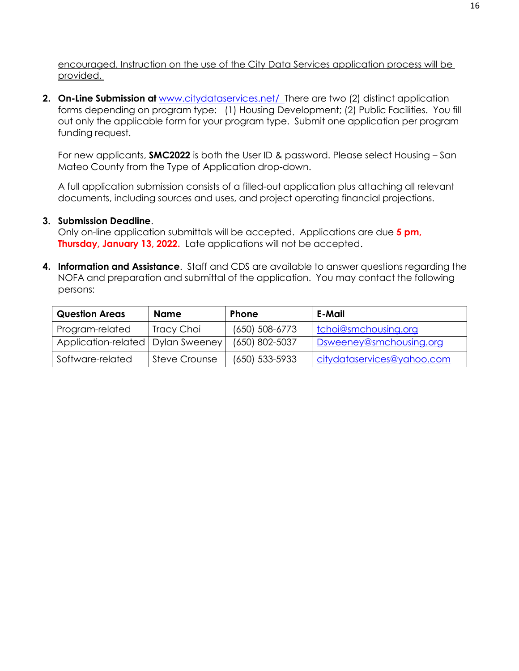encouraged. Instruction on the use of the City Data Services application process will be provided.

**2. On-Line Submission at** [www.citydataservices.net/ T](http://www.citydataservices.net/)here are two (2) distinct application forms depending on program type: (1) Housing Development; (2) Public Facilities. You fill out only the applicable form for your program type. Submit one application per program funding request.

For new applicants, **SMC2022** is both the User ID & password. Please select Housing – San Mateo County from the Type of Application drop-down.

A full application submission consists of a filled-out application plus attaching all relevant documents, including sources and uses, and project operating financial projections.

#### **3. Submission Deadline**.

Only on-line application submittals will be accepted. Applications are due **5 pm, Thursday, January 13, 2022.** Late applications will not be accepted.

**4. Information and Assistance**. Staff and CDS are available to answer questions regarding the NOFA and preparation and submittal of the application. You may contact the following persons:

| <b>Question Areas</b>               | Name                 | <b>Phone</b>       | E-Mail                     |
|-------------------------------------|----------------------|--------------------|----------------------------|
| Program-related                     | Tracy Choi           | $(650) 508 - 6773$ | tchoi@smchousing.org       |
| Application-related   Dylan Sweeney |                      | (650) 802-5037     | Dsweeney@smchousing.org    |
| Software-related                    | <b>Steve Crounse</b> | (650) 533-5933     | citydataservices@yahoo.com |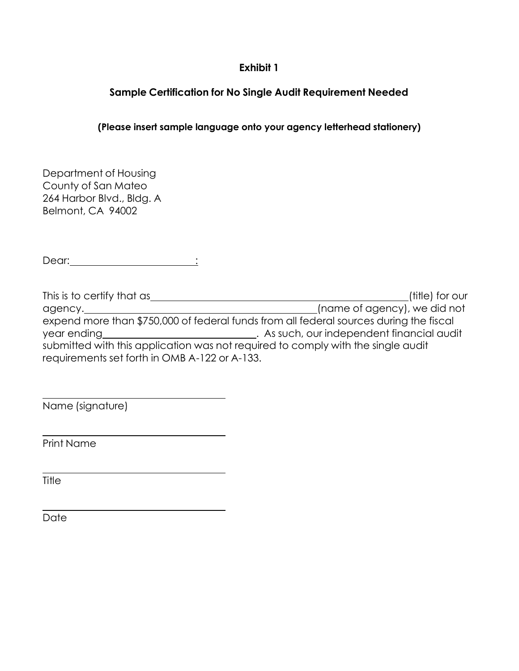## **Exhibit 1**

# **Sample Certification for No Single Audit Requirement Needed**

## **(Please insert sample language onto your agency letterhead stationery)**

| Department of Housing     |  |  |
|---------------------------|--|--|
| County of San Mateo       |  |  |
| 264 Harbor Blvd., Bldg. A |  |  |
| Belmont, CA 94002         |  |  |

Dear: :

| This is to certify that as                                                             | (title) for our                            |  |  |
|----------------------------------------------------------------------------------------|--------------------------------------------|--|--|
| agency.                                                                                | (name of agency), we did not               |  |  |
| expend more than \$750,000 of federal funds from all federal sources during the fiscal |                                            |  |  |
| year ending                                                                            | . As such, our independent financial audit |  |  |
| submitted with this application was not required to comply with the single audit       |                                            |  |  |
| requirements set forth in OMB A-122 or A-133.                                          |                                            |  |  |

Name (signature)

Print Name

Title

Date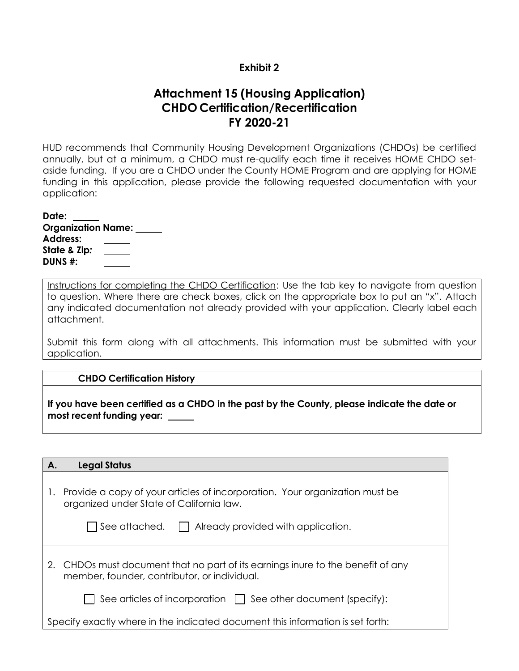#### **Exhibit 2**

# **Attachment 15 (Housing Application) CHDO Certification/Recertification FY 2020-21**

HUD recommends that Community Housing Development Organizations (CHDOs) be certified annually, but at a minimum, a CHDO must re-qualify each time it receives HOME CHDO setaside funding. If you are a CHDO under the County HOME Program and are applying for HOME funding in this application, please provide the following requested documentation with your application:

**Date: Organization Name: Address: State & Zip***:* **DUNS #:**

Instructions for completing the CHDO Certification: Use the tab key to navigate from question to question. Where there are check boxes, click on the appropriate box to put an "x". Attach any indicated documentation not already provided with your application. Clearly label each attachment.

Submit this form along with all attachments. This information must be submitted with your application.

#### **CHDO Certification History**

**If you have been certified as a CHDO in the past by the County, please indicate the date or most recent funding year:** 

| А. | <b>Legal Status</b> |
|----|---------------------|
|    |                     |

| 1. Provide a copy of your articles of incorporation. Your organization must be |  |
|--------------------------------------------------------------------------------|--|
| organized under State of California law.                                       |  |

| $\Box$ See attached. | $\Box$ Already provided with application. |
|----------------------|-------------------------------------------|
|----------------------|-------------------------------------------|

| 2. CHDOs must document that no part of its earnings inure to the benefit of any |
|---------------------------------------------------------------------------------|
| member, founder, contributor, or individual.                                    |

 $\Box$  See articles of incorporation  $\Box$  See other document (specify):

Specify exactly where in the indicated document this information is set forth: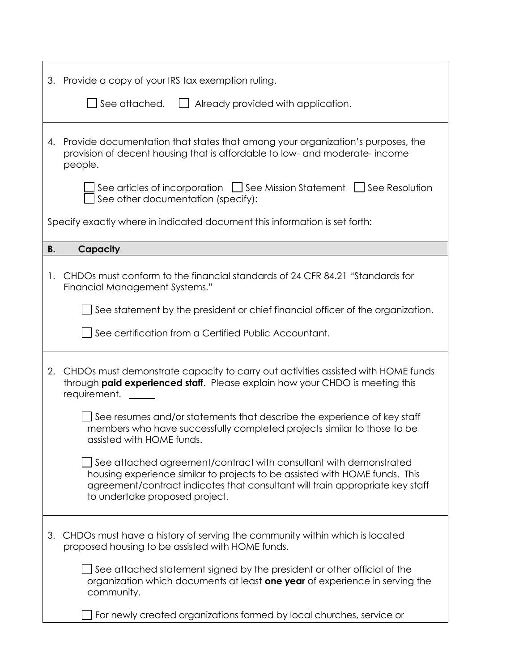|                                                                            | 3. Provide a copy of your IRS tax exemption ruling.                                                                                                                                                                                                                        |  |
|----------------------------------------------------------------------------|----------------------------------------------------------------------------------------------------------------------------------------------------------------------------------------------------------------------------------------------------------------------------|--|
|                                                                            | See attached.<br>Already provided with application.                                                                                                                                                                                                                        |  |
| 4.                                                                         | Provide documentation that states that among your organization's purposes, the<br>provision of decent housing that is affordable to low- and moderate-income<br>people.                                                                                                    |  |
|                                                                            | See articles of incorporation $\Box$ See Mission Statement $\Box$ See Resolution<br>See other documentation (specify):                                                                                                                                                     |  |
| Specify exactly where in indicated document this information is set forth: |                                                                                                                                                                                                                                                                            |  |
| <b>B.</b>                                                                  | Capacity                                                                                                                                                                                                                                                                   |  |
| 1.                                                                         | CHDOs must conform to the financial standards of 24 CFR 84.21 "Standards for<br>Financial Management Systems."                                                                                                                                                             |  |
|                                                                            | $\Box$ See statement by the president or chief financial officer of the organization.                                                                                                                                                                                      |  |
|                                                                            | See certification from a Certified Public Accountant.                                                                                                                                                                                                                      |  |
| 2.                                                                         | CHDOs must demonstrate capacity to carry out activities assisted with HOME funds<br>through paid experienced staff. Please explain how your CHDO is meeting this<br>requirement.                                                                                           |  |
|                                                                            | See resumes and/or statements that describe the experience of key staff<br>members who have successfully completed projects similar to those to be<br>assisted with HOME funds.                                                                                            |  |
|                                                                            | $\Box$ See attached agreement/contract with consultant with demonstrated<br>housing experience similar to projects to be assisted with HOME funds. This<br>agreement/contract indicates that consultant will train appropriate key staff<br>to undertake proposed project. |  |
| 3.                                                                         | CHDOs must have a history of serving the community within which is located<br>proposed housing to be assisted with HOME funds.                                                                                                                                             |  |
|                                                                            | $\Box$ See attached statement signed by the president or other official of the<br>organization which documents at least one year of experience in serving the<br>community.                                                                                                |  |
|                                                                            | For newly created organizations formed by local churches, service or                                                                                                                                                                                                       |  |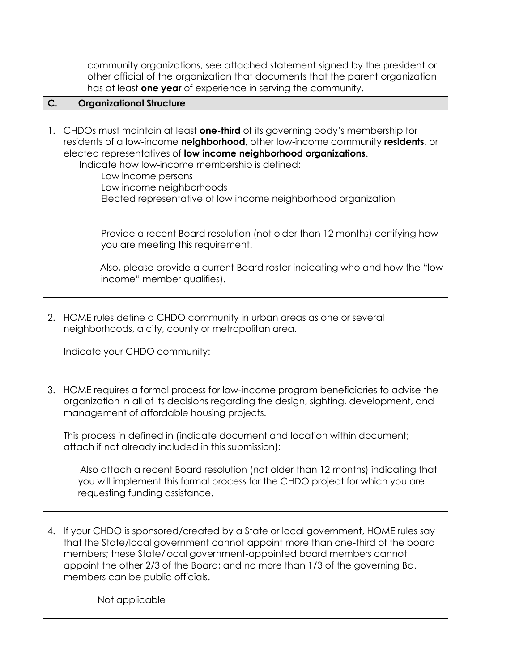|    | community organizations, see attached statement signed by the president or<br>other official of the organization that documents that the parent organization<br>has at least one year of experience in serving the community.                                                                                                                                                                                                                                                                                                                                         |
|----|-----------------------------------------------------------------------------------------------------------------------------------------------------------------------------------------------------------------------------------------------------------------------------------------------------------------------------------------------------------------------------------------------------------------------------------------------------------------------------------------------------------------------------------------------------------------------|
| C. | <b>Organizational Structure</b>                                                                                                                                                                                                                                                                                                                                                                                                                                                                                                                                       |
| 1. | CHDOs must maintain at least one-third of its governing body's membership for<br>residents of a low-income neighborhood, other low-income community residents, or<br>elected representatives of low income neighborhood organizations.<br>Indicate how low-income membership is defined:<br>Low income persons<br>Low income neighborhoods<br>Elected representative of low income neighborhood organization                                                                                                                                                          |
|    | Provide a recent Board resolution (not older than 12 months) certifying how<br>you are meeting this requirement.                                                                                                                                                                                                                                                                                                                                                                                                                                                      |
|    | Also, please provide a current Board roster indicating who and how the "low<br>income" member qualifies).                                                                                                                                                                                                                                                                                                                                                                                                                                                             |
| 2. | HOME rules define a CHDO community in urban areas as one or several<br>neighborhoods, a city, county or metropolitan area.<br>Indicate your CHDO community:                                                                                                                                                                                                                                                                                                                                                                                                           |
| 3. | HOME requires a formal process for low-income program beneficiaries to advise the<br>organization in all of its decisions regarding the design, sighting, development, and<br>management of affordable housing projects.<br>This process in defined in (indicate document and location within document;<br>attach if not already included in this submission):<br>Also attach a recent Board resolution (not older than 12 months) indicating that<br>you will implement this formal process for the CHDO project for which you are<br>requesting funding assistance. |
|    |                                                                                                                                                                                                                                                                                                                                                                                                                                                                                                                                                                       |

4. If your CHDO is sponsored/created by a State or local government, HOME rules say that the State/local government cannot appoint more than one-third of the board members; these State/local government-appointed board members cannot appoint the other 2/3 of the Board; and no more than 1/3 of the governing Bd. members can be public officials.

Not applicable